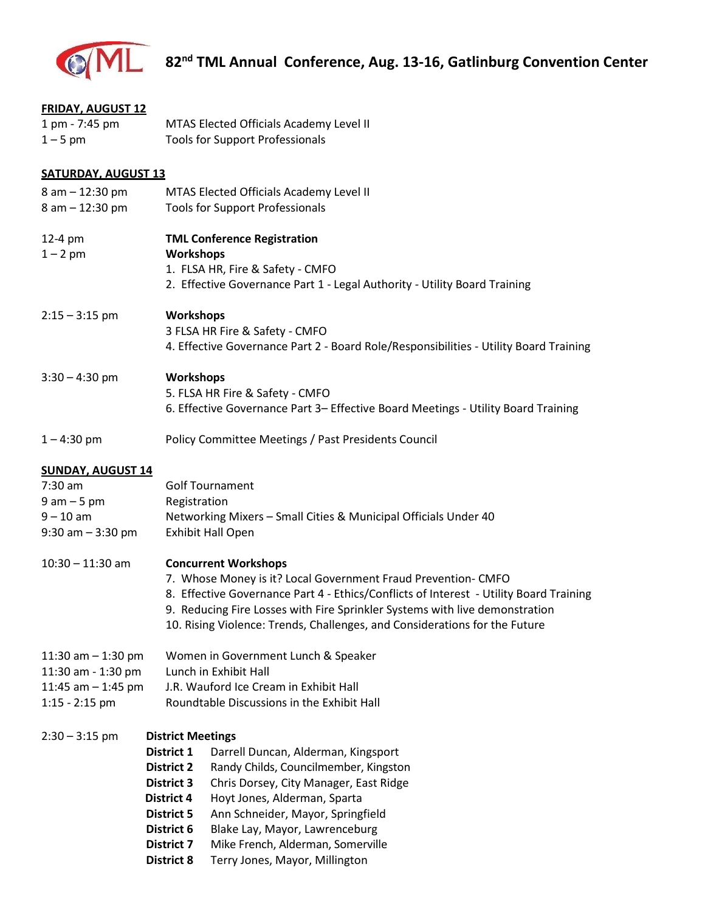

| 1 pm - 7:45 pm<br>MTAS Elected Officials Academy Level II<br>$1 - 5$ pm<br><b>Tools for Support Professionals</b> |  |  |  |
|-------------------------------------------------------------------------------------------------------------------|--|--|--|
|                                                                                                                   |  |  |  |
|                                                                                                                   |  |  |  |
|                                                                                                                   |  |  |  |
| <b>SATURDAY, AUGUST 13</b>                                                                                        |  |  |  |
| 8 am - 12:30 pm<br>MTAS Elected Officials Academy Level II                                                        |  |  |  |
| 8 am - 12:30 pm<br><b>Tools for Support Professionals</b>                                                         |  |  |  |
|                                                                                                                   |  |  |  |
| <b>TML Conference Registration</b><br>12-4 pm                                                                     |  |  |  |
| Workshops<br>$1 - 2$ pm                                                                                           |  |  |  |
| 1. FLSA HR, Fire & Safety - CMFO                                                                                  |  |  |  |
| 2. Effective Governance Part 1 - Legal Authority - Utility Board Training                                         |  |  |  |
|                                                                                                                   |  |  |  |
| <b>Workshops</b><br>$2:15 - 3:15$ pm                                                                              |  |  |  |
| 3 FLSA HR Fire & Safety - CMFO                                                                                    |  |  |  |
| 4. Effective Governance Part 2 - Board Role/Responsibilities - Utility Board Training                             |  |  |  |
|                                                                                                                   |  |  |  |
| Workshops<br>$3:30 - 4:30$ pm                                                                                     |  |  |  |
| 5. FLSA HR Fire & Safety - CMFO                                                                                   |  |  |  |
| 6. Effective Governance Part 3- Effective Board Meetings - Utility Board Training                                 |  |  |  |
|                                                                                                                   |  |  |  |
| Policy Committee Meetings / Past Presidents Council<br>$1 - 4:30$ pm                                              |  |  |  |
|                                                                                                                   |  |  |  |
| <b>SUNDAY, AUGUST 14</b>                                                                                          |  |  |  |
| $7:30$ am<br><b>Golf Tournament</b>                                                                               |  |  |  |
| $9$ am $-5$ pm<br>Registration                                                                                    |  |  |  |
| $9 - 10$ am<br>Networking Mixers - Small Cities & Municipal Officials Under 40                                    |  |  |  |
| <b>Exhibit Hall Open</b><br>$9:30$ am $-3:30$ pm                                                                  |  |  |  |
|                                                                                                                   |  |  |  |
| $10:30 - 11:30$ am<br><b>Concurrent Workshops</b>                                                                 |  |  |  |
| 7. Whose Money is it? Local Government Fraud Prevention- CMFO                                                     |  |  |  |
| 8. Effective Governance Part 4 - Ethics/Conflicts of Interest - Utility Board Training                            |  |  |  |
| 9. Reducing Fire Losses with Fire Sprinkler Systems with live demonstration                                       |  |  |  |
| 10. Rising Violence: Trends, Challenges, and Considerations for the Future                                        |  |  |  |
| Women in Government Lunch & Speaker<br>11:30 am $-$ 1:30 pm                                                       |  |  |  |
| Lunch in Exhibit Hall<br>11:30 am - 1:30 pm                                                                       |  |  |  |
| J.R. Wauford Ice Cream in Exhibit Hall<br>11:45 am $-$ 1:45 pm                                                    |  |  |  |
| Roundtable Discussions in the Exhibit Hall<br>$1:15 - 2:15$ pm                                                    |  |  |  |
|                                                                                                                   |  |  |  |
| $2:30 - 3:15$ pm<br><b>District Meetings</b>                                                                      |  |  |  |
| District 1<br>Darrell Duncan, Alderman, Kingsport                                                                 |  |  |  |
|                                                                                                                   |  |  |  |
|                                                                                                                   |  |  |  |
| Randy Childs, Councilmember, Kingston<br><b>District 2</b>                                                        |  |  |  |
| <b>District 3</b><br>Chris Dorsey, City Manager, East Ridge                                                       |  |  |  |
| Hoyt Jones, Alderman, Sparta<br><b>District 4</b>                                                                 |  |  |  |
| <b>District 5</b><br>Ann Schneider, Mayor, Springfield<br>District 6<br>Blake Lay, Mayor, Lawrenceburg            |  |  |  |

 **District 8** Terry Jones, Mayor, Millington